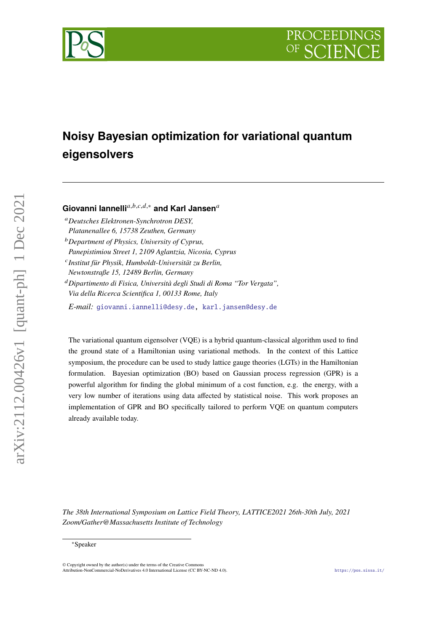# **PROCEEDING**



# **Noisy Bayesian optimization for variational quantum eigensolvers**

# Giovanni lannelli<sup>a,b,c,d,∗</sup> and Karl Jansen<sup>a</sup>

- *Deutsches Elektronen-Synchrotron DESY, Platanenallee 6, 15738 Zeuthen, Germany*
- *Department of Physics, University of Cyprus, Panepistimiou Street 1, 2109 Aglantzia, Nicosia, Cyprus*
- *Institut für Physik, Humboldt-Universität zu Berlin, Newtonstraße 15, 12489 Berlin, Germany*
- *Dipartimento di Fisica, Università degli Studi di Roma "Tor Vergata", Via della Ricerca Scientifica 1, 00133 Rome, Italy*

*E-mail:* [giovanni.iannelli@desy.de,](mailto:giovanni.iannelli@desy.de) [karl.jansen@desy.de](mailto:karl.jansen@desy.de)

The variational quantum eigensolver (VQE) is a hybrid quantum-classical algorithm used to find the ground state of a Hamiltonian using variational methods. In the context of this Lattice symposium, the procedure can be used to study lattice gauge theories (LGTs) in the Hamiltonian formulation. Bayesian optimization (BO) based on Gaussian process regression (GPR) is a powerful algorithm for finding the global minimum of a cost function, e.g. the energy, with a very low number of iterations using data affected by statistical noise. This work proposes an implementation of GPR and BO specifically tailored to perform VQE on quantum computers already available today.

*The 38th International Symposium on Lattice Field Theory, LATTICE2021 26th-30th July, 2021 Zoom/Gather@Massachusetts Institute of Technology*

arXiv:2112.00426v1 [quant-ph] 1 Dec 2021

arXiv:2112.00426v1 [quant-ph] 1 Dec 2021

<sup>∗</sup>Speaker

 $\odot$  Copyright owned by the author(s) under the terms of the Creative Common Attribution-NonCommercial-NoDerivatives 4.0 International License (CC BY-NC-ND 4.0). <https://pos.sissa.it/>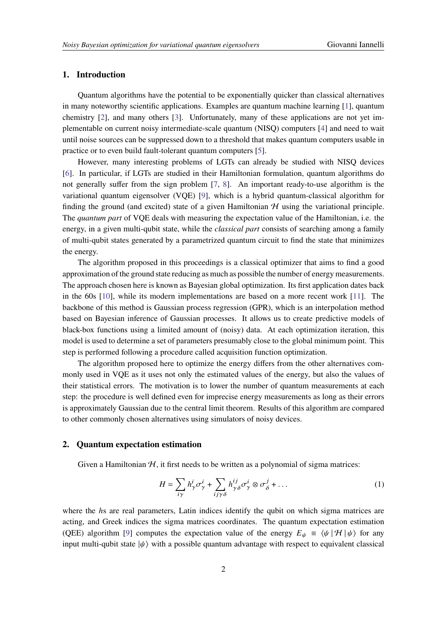# **1. Introduction**

Quantum algorithms have the potential to be exponentially quicker than classical alternatives in many noteworthy scientific applications. Examples are quantum machine learning [\[1\]](#page-10-0), quantum chemistry [\[2\]](#page-10-1), and many others [\[3\]](#page-10-2). Unfortunately, many of these applications are not yet implementable on current noisy intermediate-scale quantum (NISQ) computers [\[4\]](#page-10-3) and need to wait until noise sources can be suppressed down to a threshold that makes quantum computers usable in practice or to even build fault-tolerant quantum computers [\[5\]](#page-10-4).

However, many interesting problems of LGTs can already be studied with NISQ devices [\[6\]](#page-10-5). In particular, if LGTs are studied in their Hamiltonian formulation, quantum algorithms do not generally suffer from the sign problem [\[7,](#page-10-6) [8\]](#page-10-7). An important ready-to-use algorithm is the variational quantum eigensolver (VQE) [\[9\]](#page-10-8), which is a hybrid quantum-classical algorithm for finding the ground (and excited) state of a given Hamiltonian  $H$  using the variational principle. The *quantum part* of VQE deals with measuring the expectation value of the Hamiltonian, i.e. the energy, in a given multi-qubit state, while the *classical part* consists of searching among a family of multi-qubit states generated by a parametrized quantum circuit to find the state that minimizes the energy.

The algorithm proposed in this proceedings is a classical optimizer that aims to find a good approximation of the ground state reducing as much as possible the number of energy measurements. The approach chosen here is known as Bayesian global optimization. Its first application dates back in the 60s [\[10\]](#page-10-9), while its modern implementations are based on a more recent work [\[11\]](#page-10-10). The backbone of this method is Gaussian process regression (GPR), which is an interpolation method based on Bayesian inference of Gaussian processes. It allows us to create predictive models of black-box functions using a limited amount of (noisy) data. At each optimization iteration, this model is used to determine a set of parameters presumably close to the global minimum point. This step is performed following a procedure called acquisition function optimization.

The algorithm proposed here to optimize the energy differs from the other alternatives commonly used in VQE as it uses not only the estimated values of the energy, but also the values of their statistical errors. The motivation is to lower the number of quantum measurements at each step: the procedure is well defined even for imprecise energy measurements as long as their errors is approximately Gaussian due to the central limit theorem. Results of this algorithm are compared to other commonly chosen alternatives using simulators of noisy devices.

#### **2. Quantum expectation estimation**

Given a Hamiltonian  $H$ , it first needs to be written as a polynomial of sigma matrices:

<span id="page-1-0"></span>
$$
H = \sum_{i\gamma} h_{\gamma}^{i} \sigma_{\gamma}^{i} + \sum_{i j \gamma \delta} h_{\gamma \delta}^{i j} \sigma_{\gamma}^{i} \otimes \sigma_{\delta}^{j} + \dots
$$
 (1)

where the hs are real parameters, Latin indices identify the qubit on which sigma matrices are acting, and Greek indices the sigma matrices coordinates. The quantum expectation estimation (QEE) algorithm [\[9\]](#page-10-8) computes the expectation value of the energy  $E_{\psi} = \langle \psi | \mathcal{H} | \psi \rangle$  for any input multi-qubit state  $|\psi\rangle$  with a possible quantum advantage with respect to equivalent classical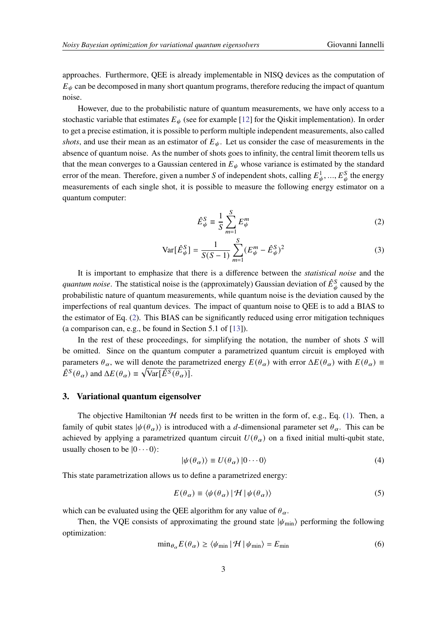approaches. Furthermore, QEE is already implementable in NISQ devices as the computation of  $E_{\psi}$  can be decomposed in many short quantum programs, therefore reducing the impact of quantum noise.

However, due to the probabilistic nature of quantum measurements, we have only access to a stochastic variable that estimates  $E_{\psi}$  (see for example [\[12\]](#page-10-11) for the Qiskit implementation). In order to get a precise estimation, it is possible to perform multiple independent measurements, also called *shots*, and use their mean as an estimator of  $E_{\psi}$ . Let us consider the case of measurements in the absence of quantum noise. As the number of shots goes to infinity, the central limit theorem tells us that the mean converges to a Gaussian centered in  $E_{\psi}$  whose variance is estimated by the standard error of the mean. Therefore, given a number S of independent shots, calling  $E_{\psi}^1, ..., E_{\psi}^S$  the energy measurements of each single shot, it is possible to measure the following energy estimator on a quantum computer:

<span id="page-2-1"></span><span id="page-2-0"></span>
$$
\hat{E}_{\psi}^{S} \equiv \frac{1}{S} \sum_{m=1}^{S} E_{\psi}^{m} \tag{2}
$$

$$
\text{Var}[\hat{E}_{\psi}^{S}] = \frac{1}{S(S-1)} \sum_{m=1}^{S} (E_{\psi}^{m} - \hat{E}_{\psi}^{S})^{2}
$$
(3)

It is important to emphasize that there is a difference between the *statistical noise* and the quantum noise. The statistical noise is the (approximately) Gaussian deviation of  $\hat{E}^S_\psi$  caused by the probabilistic nature of quantum measurements, while quantum noise is the deviation caused by the imperfections of real quantum devices. The impact of quantum noise to QEE is to add a BIAS to the estimator of Eq. [\(2\)](#page-2-0). This BIAS can be significantly reduced using error mitigation techniques (a comparison can, e.g., be found in Section 5.1 of [\[13\]](#page-10-12)).

In the rest of these proceedings, for simplifying the notation, the number of shots  $S$  will be omitted. Since on the quantum computer a parametrized quantum circuit is employed with parameters  $\theta_{\alpha}$ , we will denote the parametrized energy  $E(\theta_{\alpha})$  with error  $\Delta E(\theta_{\alpha})$  with  $E(\theta_{\alpha}) \equiv$  $\hat{E}^{S}(\theta_{\alpha})$  and  $\Delta E(\theta_{\alpha}) \equiv \sqrt{\text{Var}[\hat{E}^{S}(\theta_{\alpha})]}$ .

#### **3. Variational quantum eigensolver**

The objective Hamiltonian  $H$  needs first to be written in the form of, e.g., Eq. [\(1\)](#page-1-0). Then, a family of qubit states  $|\psi(\theta_{\alpha})\rangle$  is introduced with a d-dimensional parameter set  $\theta_{\alpha}$ . This can be achieved by applying a parametrized quantum circuit  $U(\theta_{\alpha})$  on a fixed initial multi-qubit state, usually chosen to be  $|0 \cdots 0\rangle$ :

<span id="page-2-3"></span>
$$
|\psi(\theta_{\alpha})\rangle \equiv U(\theta_{\alpha})\,|0\cdots 0\rangle\tag{4}
$$

This state parametrization allows us to define a parametrized energy:

<span id="page-2-2"></span>
$$
E(\theta_{\alpha}) \equiv \langle \psi(\theta_{\alpha}) | \mathcal{H} | \psi(\theta_{\alpha}) \rangle \tag{5}
$$

which can be evaluated using the QEE algorithm for any value of  $\theta_{\alpha}$ .

Then, the VQE consists of approximating the ground state  $|\psi_{\text{min}}\rangle$  performing the following optimization:

$$
\min_{\theta_{\alpha}} E(\theta_{\alpha}) \ge \langle \psi_{\min} | \mathcal{H} | \psi_{\min} \rangle = E_{\min} \tag{6}
$$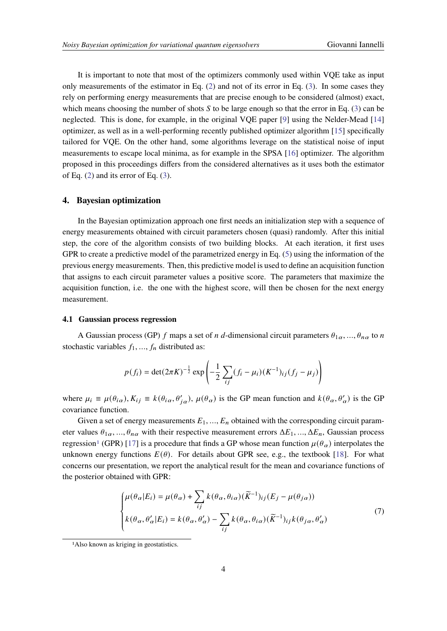It is important to note that most of the optimizers commonly used within VQE take as input only measurements of the estimator in Eq. [\(2\)](#page-2-0) and not of its error in Eq. [\(3\)](#page-2-1). In some cases they rely on performing energy measurements that are precise enough to be considered (almost) exact, which means choosing the number of shots  $S$  to be large enough so that the error in Eq. [\(3\)](#page-2-1) can be neglected. This is done, for example, in the original VQE paper [\[9\]](#page-10-8) using the Nelder-Mead [\[14\]](#page-10-13) optimizer, as well as in a well-performing recently published optimizer algorithm [\[15\]](#page-10-14) specifically tailored for VQE. On the other hand, some algorithms leverage on the statistical noise of input measurements to escape local minima, as for example in the SPSA [\[16\]](#page-11-0) optimizer. The algorithm proposed in this proceedings differs from the considered alternatives as it uses both the estimator of Eq. [\(2\)](#page-2-0) and its error of Eq. [\(3\)](#page-2-1).

# **4. Bayesian optimization**

In the Bayesian optimization approach one first needs an initialization step with a sequence of energy measurements obtained with circuit parameters chosen (quasi) randomly. After this initial step, the core of the algorithm consists of two building blocks. At each iteration, it first uses GPR to create a predictive model of the parametrized energy in Eq. [\(5\)](#page-2-2) using the information of the previous energy measurements. Then, this predictive model is used to define an acquisition function that assigns to each circuit parameter values a positive score. The parameters that maximize the acquisition function, i.e. the one with the highest score, will then be chosen for the next energy measurement.

#### **4.1 Gaussian process regression**

A Gaussian process (GP) f maps a set of *n d*-dimensional circuit parameters  $\theta_{1\alpha}$ , ...,  $\theta_{n\alpha}$  to *n* stochastic variables  $f_1, ..., f_n$  distributed as:

$$
p(f_i) = \det(2\pi K)^{-\frac{1}{2}} \exp\left(-\frac{1}{2} \sum_{ij} (f_i - \mu_i)(K^{-1})_{ij} (f_j - \mu_j)\right)
$$

where  $\mu_i \equiv \mu(\theta_i \alpha), K_{ij} \equiv k(\theta_i \alpha, \theta'_{i\alpha}), \mu(\theta_{\alpha})$  is the GP mean function and  $k(\theta_{\alpha}, \theta'_{\alpha})$  is the GP covariance function.

Given a set of energy measurements  $E_1, ..., E_n$  obtained with the corresponding circuit parameter values  $\theta_{1\alpha}$ , ...,  $\theta_{n\alpha}$  with their respective measurement errors  $\Delta E_1$ , ...,  $\Delta E_n$ , Gaussian process regression<sup>[1](#page-3-0)</sup> (GPR) [\[17\]](#page-11-1) is a procedure that finds a GP whose mean function  $\mu(\theta_{\alpha})$  interpolates the unknown energy functions  $E(\theta)$ . For details about GPR see, e.g., the textbook [\[18\]](#page-11-2). For what concerns our presentation, we report the analytical result for the mean and covariance functions of the posterior obtained with GPR:

<span id="page-3-1"></span>
$$
\begin{cases}\n\mu(\theta_{\alpha}|E_i) = \mu(\theta_{\alpha}) + \sum_{ij} k(\theta_{\alpha}, \theta_{i\alpha})(\widetilde{K}^{-1})_{ij}(E_j - \mu(\theta_{j\alpha})) \\
k(\theta_{\alpha}, \theta_{\alpha}'|E_i) = k(\theta_{\alpha}, \theta_{\alpha}') - \sum_{ij} k(\theta_{\alpha}, \theta_{i\alpha})(\widetilde{K}^{-1})_{ij} k(\theta_{j\alpha}, \theta_{\alpha}')\n\end{cases} (7)
$$

<span id="page-3-0"></span><sup>1</sup>Also known as kriging in geostatistics.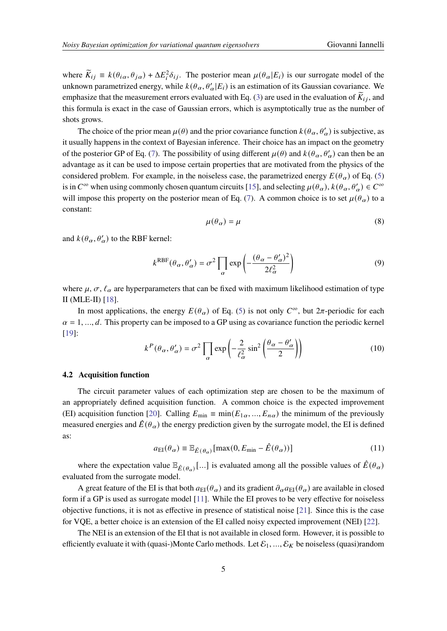where  $\widetilde{K}_{ij} = k(\theta_{i\alpha}, \theta_{j\alpha}) + \Delta E_i^2 \delta_{ij}$ . The posterior mean  $\mu(\theta_{\alpha}|E_i)$  is our surrogate model of the unknown parametrized energy, while  $k(\theta_{\alpha}, \theta_{\alpha}' | E_i)$  is an estimation of its Gaussian covariance. We emphasize that the measurement errors evaluated with Eq. [\(3\)](#page-2-1) are used in the evaluation of  $\overline{K}_{ij}$ , and this formula is exact in the case of Gaussian errors, which is asymptotically true as the number of shots grows.

The choice of the prior mean  $\mu(\theta)$  and the prior covariance function  $k(\theta_\alpha, \theta'_\alpha)$  is subjective, as it usually happens in the context of Bayesian inference. Their choice has an impact on the geometry of the posterior GP of Eq. [\(7\)](#page-3-1). The possibility of using different  $\mu(\theta)$  and  $k(\theta_{\alpha}, \theta'_{\alpha})$  can then be an advantage as it can be used to impose certain properties that are motivated from the physics of the considered problem. For example, in the noiseless case, the parametrized energy  $E(\theta_{\alpha})$  of Eq. [\(5\)](#page-2-2) is in  $C^{\infty}$  when using commonly chosen quantum circuits [\[15\]](#page-10-14), and selecting  $\mu(\theta_{\alpha})$ ,  $k(\theta_{\alpha}, \theta'_{\alpha}) \in C^{\infty}$ will impose this property on the posterior mean of Eq. [\(7\)](#page-3-1). A common choice is to set  $\mu(\theta_{\alpha})$  to a constant:

<span id="page-4-0"></span>
$$
\mu(\theta_{\alpha}) = \mu \tag{8}
$$

and  $k(\theta_{\alpha}, \theta'_{\alpha})$  to the RBF kernel:

<span id="page-4-1"></span>
$$
k^{\text{RBF}}(\theta_{\alpha}, \theta'_{\alpha}) = \sigma^2 \prod_{\alpha} \exp\left(-\frac{(\theta_{\alpha} - \theta'_{\alpha})^2}{2\ell_{\alpha}^2}\right)
$$
(9)

where  $\mu$ ,  $\sigma$ ,  $\ell_{\alpha}$  are hyperparameters that can be fixed with maximum likelihood estimation of type II (MLE-II) [\[18\]](#page-11-2).

In most applications, the energy  $E(\theta_{\alpha})$  of Eq. [\(5\)](#page-2-2) is not only  $C^{\infty}$ , but  $2\pi$ -periodic for each  $\alpha = 1, \ldots, d$ . This property can be imposed to a GP using as covariance function the periodic kernel [\[19\]](#page-11-3):

<span id="page-4-2"></span>
$$
k^{P}(\theta_{\alpha}, \theta'_{\alpha}) = \sigma^{2} \prod_{\alpha} \exp\left(-\frac{2}{\ell_{\alpha}^{2}} \sin^{2}\left(\frac{\theta_{\alpha} - \theta'_{\alpha}}{2}\right)\right)
$$
(10)

#### **4.2 Acquisition function**

The circuit parameter values of each optimization step are chosen to be the maximum of an appropriately defined acquisition function. A common choice is the expected improvement (EI) acquisition function [\[20\]](#page-11-4). Calling  $E_{\min} \equiv \min(E_{1\alpha}, ..., E_{n\alpha})$  the minimum of the previously measured energies and  $\hat{E}(\theta_{\alpha})$  the energy prediction given by the surrogate model, the EI is defined as:

$$
a_{\rm EI}(\theta_\alpha) \equiv \mathbb{E}_{\hat{E}(\theta_\alpha)}[\max(0, E_{\rm min} - \hat{E}(\theta_\alpha))]
$$
(11)

where the expectation value  $\mathbb{E}_{\hat{E}(\theta_a)}[...]$  is evaluated among all the possible values of  $\hat{E}(\theta_a)$ evaluated from the surrogate model.

A great feature of the EI is that both  $a_{EI}(\theta_{\alpha})$  and its gradient  $\partial_{\alpha}a_{EI}(\theta_{\alpha})$  are available in closed form if a GP is used as surrogate model [\[11\]](#page-10-10). While the EI proves to be very effective for noiseless objective functions, it is not as effective in presence of statistical noise [\[21\]](#page-11-5). Since this is the case for VQE, a better choice is an extension of the EI called noisy expected improvement (NEI) [\[22\]](#page-11-6).

The NEI is an extension of the EI that is not available in closed form. However, it is possible to efficiently evaluate it with (quasi-)Monte Carlo methods. Let  $\mathcal{E}_1, ..., \mathcal{E}_K$  be noiseless (quasi)random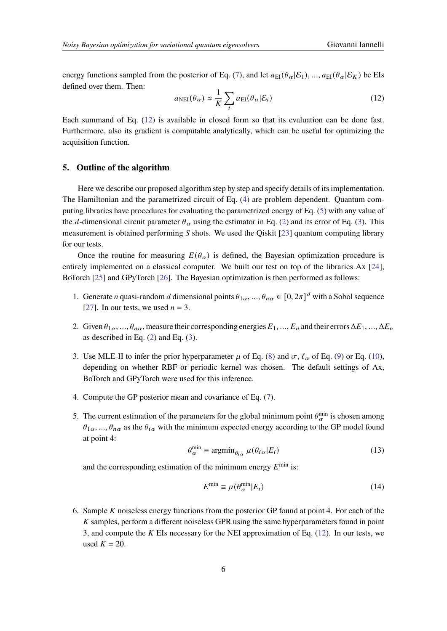energy functions sampled from the posterior of Eq. [\(7\)](#page-3-1), and let  $a_{\text{EI}}(\theta_{\alpha}|\mathcal{E}_1), ..., a_{\text{EI}}(\theta_{\alpha}|\mathcal{E}_K)$  be EIs defined over them. Then:

<span id="page-5-0"></span>
$$
a_{\text{NEI}}(\theta_{\alpha}) \simeq \frac{1}{K} \sum_{i} a_{\text{EI}}(\theta_{\alpha} | \mathcal{E}_{i})
$$
\n(12)

Each summand of Eq. [\(12\)](#page-5-0) is available in closed form so that its evaluation can be done fast. Furthermore, also its gradient is computable analytically, which can be useful for optimizing the acquisition function.

#### **5. Outline of the algorithm**

Here we describe our proposed algorithm step by step and specify details of its implementation. The Hamiltonian and the parametrized circuit of Eq. [\(4\)](#page-2-3) are problem dependent. Quantum computing libraries have procedures for evaluating the parametrized energy of Eq. [\(5\)](#page-2-2) with any value of the d-dimensional circuit parameter  $\theta_{\alpha}$  using the estimator in Eq. [\(2\)](#page-2-0) and its error of Eq. [\(3\)](#page-2-1). This measurement is obtained performing  $S$  shots. We used the Qiskit [\[23\]](#page-11-7) quantum computing library for our tests.

Once the routine for measuring  $E(\theta_{\alpha})$  is defined, the Bayesian optimization procedure is entirely implemented on a classical computer. We built our test on top of the libraries Ax [\[24\]](#page-11-8), BoTorch [\[25\]](#page-11-9) and GPyTorch [\[26\]](#page-11-10). The Bayesian optimization is then performed as follows:

- 1. Generate *n* quasi-random *d* dimensional points  $\theta_{1\alpha}, ..., \theta_{n\alpha} \in [0, 2\pi]^d$  with a Sobol sequence [\[27\]](#page-11-11). In our tests, we used  $n = 3$ .
- 2. Given  $\theta_{1\alpha}, ..., \theta_{n\alpha}$ , measure their corresponding energies  $E_1, ..., E_n$  and their errors  $\Delta E_1, ..., \Delta E_n$ as described in Eq.  $(2)$  and Eq.  $(3)$ .
- 3. Use MLE-II to infer the prior hyperparameter  $\mu$  of Eq. [\(8\)](#page-4-0) and  $\sigma$ ,  $\ell_{\alpha}$  of Eq. [\(9\)](#page-4-1) or Eq. [\(10\)](#page-4-2), depending on whether RBF or periodic kernel was chosen. The default settings of Ax, BoTorch and GPyTorch were used for this inference.
- 4. Compute the GP posterior mean and covariance of Eq. [\(7\)](#page-3-1).
- 5. The current estimation of the parameters for the global minimum point  $\theta_{\alpha}^{\min}$  is chosen among  $\theta_{1\alpha}$ , ...,  $\theta_{n\alpha}$  as the  $\theta_{i\alpha}$  with the minimum expected energy according to the GP model found at point 4:

<span id="page-5-1"></span>
$$
\theta_{\alpha}^{\min} \equiv \operatorname{argmin}_{\theta_{i\alpha}} \mu(\theta_{i\alpha}|E_i)
$$
\n(13)

and the corresponding estimation of the minimum energy  $E^{\min}$  is:

$$
E^{\min} \equiv \mu(\theta^{\min}_{\alpha}|E_i) \tag{14}
$$

6. Sample  $K$  noiseless energy functions from the posterior GP found at point 4. For each of the  $K$  samples, perform a different noiseless GPR using the same hyperparameters found in point 3, and compute the  $K$  EIs necessary for the NEI approximation of Eq. [\(12\)](#page-5-0). In our tests, we used  $K = 20$ .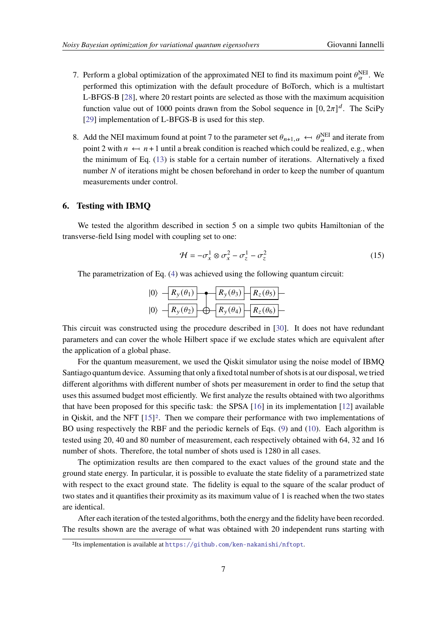- 7. Perform a global optimization of the approximated NEI to find its maximum point  $\theta_{\alpha}^{NEL}$ . We performed this optimization with the default procedure of BoTorch, which is a multistart L-BFGS-B [\[28\]](#page-11-12), where 20 restart points are selected as those with the maximum acquisition function value out of 1000 points drawn from the Sobol sequence in  $[0, 2\pi]^d$ . The SciPy [\[29\]](#page-11-13) implementation of L-BFGS-B is used for this step.
- 8. Add the NEI maximum found at point 7 to the parameter set  $\theta_{n+1,\alpha} \leftarrow \theta_{\alpha}^{\text{NEI}}$  and iterate from point 2 with  $n \leftrightarrow n+1$  until a break condition is reached which could be realized, e.g., when the minimum of Eq. [\(13\)](#page-5-1) is stable for a certain number of iterations. Alternatively a fixed number  $N$  of iterations might be chosen beforehand in order to keep the number of quantum measurements under control.

#### **6. Testing with IBMQ**

We tested the algorithm described in section 5 on a simple two qubits Hamiltonian of the transverse-field Ising model with coupling set to one:

$$
\mathcal{H} = -\sigma_x^1 \otimes \sigma_x^2 - \sigma_z^1 - \sigma_z^2 \tag{15}
$$

The parametrization of Eq. [\(4\)](#page-2-3) was achieved using the following quantum circuit:

$$
|0\rangle = R_y(\theta_1)
$$
  

$$
|0\rangle = R_y(\theta_2)
$$
  

$$
R_y(\theta_3) = R_z(\theta_5)
$$

This circuit was constructed using the procedure described in [\[30\]](#page-11-14). It does not have redundant parameters and can cover the whole Hilbert space if we exclude states which are equivalent after the application of a global phase.

For the quantum measurement, we used the Qiskit simulator using the noise model of IBMQ Santiago quantum device. Assuming that only a fixed total number of shots is at our disposal, we tried different algorithms with different number of shots per measurement in order to find the setup that uses this assumed budget most efficiently. We first analyze the results obtained with two algorithms that have been proposed for this specific task: the SPSA [\[16\]](#page-11-0) in its implementation [\[12\]](#page-10-11) available in Qiskit, and the NFT  $[15]^2$  $[15]^2$  $[15]^2$ . Then we compare their performance with two implementations of BO using respectively the RBF and the periodic kernels of Eqs. [\(9\)](#page-4-1) and [\(10\)](#page-4-2). Each algorithm is tested using 20, 40 and 80 number of measurement, each respectively obtained with 64, 32 and 16 number of shots. Therefore, the total number of shots used is 1280 in all cases.

The optimization results are then compared to the exact values of the ground state and the ground state energy. In particular, it is possible to evaluate the state fidelity of a parametrized state with respect to the exact ground state. The fidelity is equal to the square of the scalar product of two states and it quantifies their proximity as its maximum value of 1 is reached when the two states are identical.

After each iteration of the tested algorithms, both the energy and the fidelity have been recorded. The results shown are the average of what was obtained with 20 independent runs starting with

<span id="page-6-0"></span><sup>2</sup>Its implementation is available at <https://github.com/ken-nakanishi/nftopt>.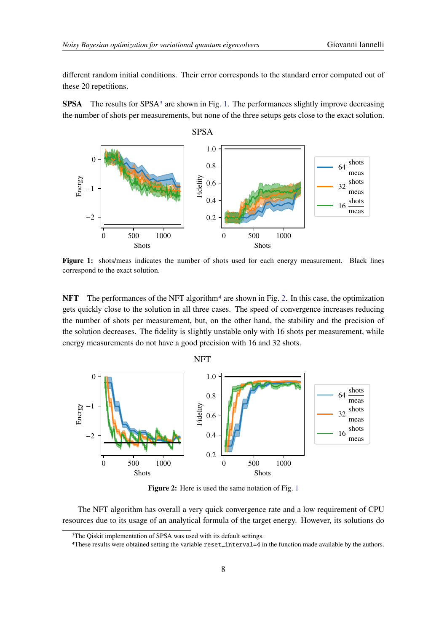different random initial conditions. Their error corresponds to the standard error computed out of these 20 repetitions.

**SPSA** The results for SPSA<sup>[3](#page-7-0)</sup> are shown in Fig. [1.](#page-7-1) The performances slightly improve decreasing the number of shots per measurements, but none of the three setups gets close to the exact solution.

<span id="page-7-1"></span>

**Figure 1:** shots/meas indicates the number of shots used for each energy measurement. Black lines correspond to the exact solution.

**NFT** The performances of the NFT algorithm<sup>[4](#page-7-2)</sup> are shown in Fig. [2.](#page-7-3) In this case, the optimization gets quickly close to the solution in all three cases. The speed of convergence increases reducing the number of shots per measurement, but, on the other hand, the stability and the precision of the solution decreases. The fidelity is slightly unstable only with 16 shots per measurement, while energy measurements do not have a good precision with 16 and 32 shots.

<span id="page-7-3"></span>

**Figure 2:** Here is used the same notation of Fig. [1](#page-7-1)

The NFT algorithm has overall a very quick convergence rate and a low requirement of CPU resources due to its usage of an analytical formula of the target energy. However, its solutions do

<span id="page-7-0"></span><sup>&</sup>lt;sup>3</sup>The Qiskit implementation of SPSA was used with its default settings.

<span id="page-7-2"></span><sup>4</sup>These results were obtained setting the variable reset\_interval=4 in the function made available by the authors.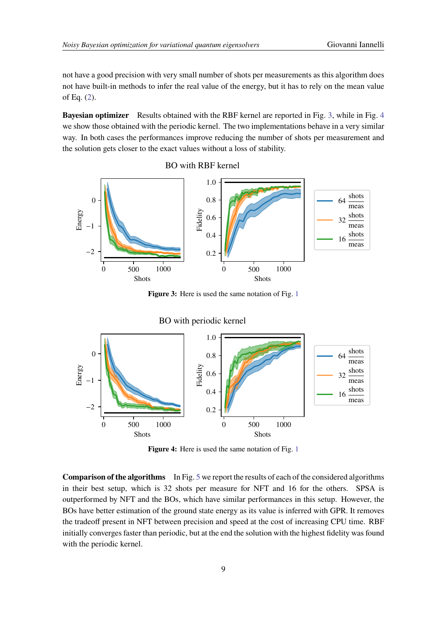not have a good precision with very small number of shots per measurements as this algorithm does not have built-in methods to infer the real value of the energy, but it has to rely on the mean value of Eq. [\(2\)](#page-2-0).

**Bayesian optimizer** Results obtained with the RBF kernel are reported in Fig. [3,](#page-8-0) while in Fig. [4](#page-8-1) we show those obtained with the periodic kernel. The two implementations behave in a very similar way. In both cases the performances improve reducing the number of shots per measurement and the solution gets closer to the exact values without a loss of stability.

<span id="page-8-0"></span>

**Figure 3:** Here is used the same notation of Fig. [1](#page-7-1)

<span id="page-8-1"></span>

**Figure 4:** Here is used the same notation of Fig. [1](#page-7-1)

**Comparison of the algorithms** In Fig. [5](#page-9-0) we report the results of each of the considered algorithms in their best setup, which is 32 shots per measure for NFT and 16 for the others. SPSA is outperformed by NFT and the BOs, which have similar performances in this setup. However, the BOs have better estimation of the ground state energy as its value is inferred with GPR. It removes the tradeoff present in NFT between precision and speed at the cost of increasing CPU time. RBF initially converges faster than periodic, but at the end the solution with the highest fidelity was found with the periodic kernel.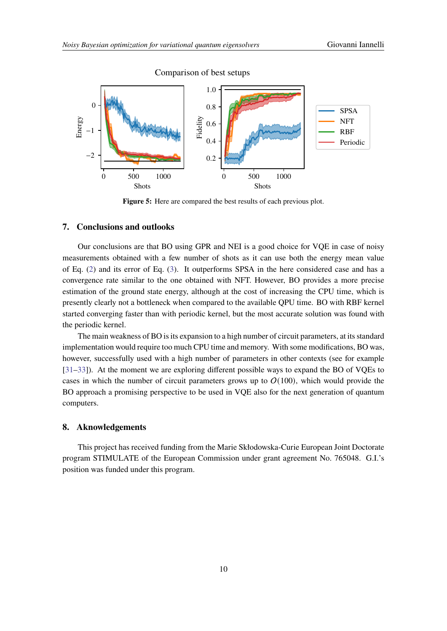<span id="page-9-0"></span>

Comparison of best setups

**Figure 5:** Here are compared the best results of each previous plot.

# **7. Conclusions and outlooks**

Our conclusions are that BO using GPR and NEI is a good choice for VQE in case of noisy measurements obtained with a few number of shots as it can use both the energy mean value of Eq. [\(2\)](#page-2-0) and its error of Eq. [\(3\)](#page-2-1). It outperforms SPSA in the here considered case and has a convergence rate similar to the one obtained with NFT. However, BO provides a more precise estimation of the ground state energy, although at the cost of increasing the CPU time, which is presently clearly not a bottleneck when compared to the available QPU time. BO with RBF kernel started converging faster than with periodic kernel, but the most accurate solution was found with the periodic kernel.

The main weakness of BO is its expansion to a high number of circuit parameters, at its standard implementation would require too much CPU time and memory. With some modifications, BO was, however, successfully used with a high number of parameters in other contexts (see for example [\[31](#page-12-0)[–33\]](#page-12-1)). At the moment we are exploring different possible ways to expand the BO of VQEs to cases in which the number of circuit parameters grows up to  $O(100)$ , which would provide the BO approach a promising perspective to be used in VQE also for the next generation of quantum computers.

## **8. Aknowledgements**

This project has received funding from the Marie Skłodowska-Curie European Joint Doctorate program STIMULATE of the European Commission under grant agreement No. 765048. G.I.'s position was funded under this program.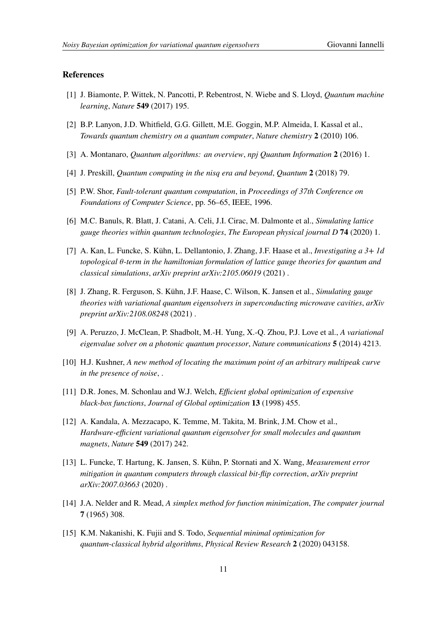#### **References**

- <span id="page-10-0"></span>[1] J. Biamonte, P. Wittek, N. Pancotti, P. Rebentrost, N. Wiebe and S. Lloyd, *Quantum machine learning*, *Nature* **549** (2017) 195.
- <span id="page-10-1"></span>[2] B.P. Lanyon, J.D. Whitfield, G.G. Gillett, M.E. Goggin, M.P. Almeida, I. Kassal et al., *Towards quantum chemistry on a quantum computer*, *Nature chemistry* **2** (2010) 106.
- <span id="page-10-2"></span>[3] A. Montanaro, *Quantum algorithms: an overview*, *npj Quantum Information* **2** (2016) 1.
- <span id="page-10-3"></span>[4] J. Preskill, *Quantum computing in the nisq era and beyond*, *Quantum* **2** (2018) 79.
- <span id="page-10-4"></span>[5] P.W. Shor, *Fault-tolerant quantum computation*, in *Proceedings of 37th Conference on Foundations of Computer Science*, pp. 56–65, IEEE, 1996.
- <span id="page-10-5"></span>[6] M.C. Banuls, R. Blatt, J. Catani, A. Celi, J.I. Cirac, M. Dalmonte et al., *Simulating lattice gauge theories within quantum technologies*, *The European physical journal D* **74** (2020) 1.
- <span id="page-10-6"></span>[7] A. Kan, L. Funcke, S. Kühn, L. Dellantonio, J. Zhang, J.F. Haase et al., *Investigating a 3+ 1d topological -term in the hamiltonian formulation of lattice gauge theories for quantum and classical simulations*, *arXiv preprint arXiv:2105.06019* (2021) .
- <span id="page-10-7"></span>[8] J. Zhang, R. Ferguson, S. Kühn, J.F. Haase, C. Wilson, K. Jansen et al., *Simulating gauge theories with variational quantum eigensolvers in superconducting microwave cavities*, *arXiv preprint arXiv:2108.08248* (2021) .
- <span id="page-10-8"></span>[9] A. Peruzzo, J. McClean, P. Shadbolt, M.-H. Yung, X.-Q. Zhou, P.J. Love et al., *A variational eigenvalue solver on a photonic quantum processor*, *Nature communications* **5** (2014) 4213.
- <span id="page-10-9"></span>[10] H.J. Kushner, *A new method of locating the maximum point of an arbitrary multipeak curve in the presence of noise*, .
- <span id="page-10-10"></span>[11] D.R. Jones, M. Schonlau and W.J. Welch, *Efficient global optimization of expensive black-box functions*, *Journal of Global optimization* **13** (1998) 455.
- <span id="page-10-11"></span>[12] A. Kandala, A. Mezzacapo, K. Temme, M. Takita, M. Brink, J.M. Chow et al., *Hardware-efficient variational quantum eigensolver for small molecules and quantum magnets*, *Nature* **549** (2017) 242.
- <span id="page-10-12"></span>[13] L. Funcke, T. Hartung, K. Jansen, S. Kühn, P. Stornati and X. Wang, *Measurement error mitigation in quantum computers through classical bit-flip correction*, *arXiv preprint arXiv:2007.03663* (2020) .
- <span id="page-10-13"></span>[14] J.A. Nelder and R. Mead, *A simplex method for function minimization*, *The computer journal* **7** (1965) 308.
- <span id="page-10-14"></span>[15] K.M. Nakanishi, K. Fujii and S. Todo, *Sequential minimal optimization for quantum-classical hybrid algorithms*, *Physical Review Research* **2** (2020) 043158.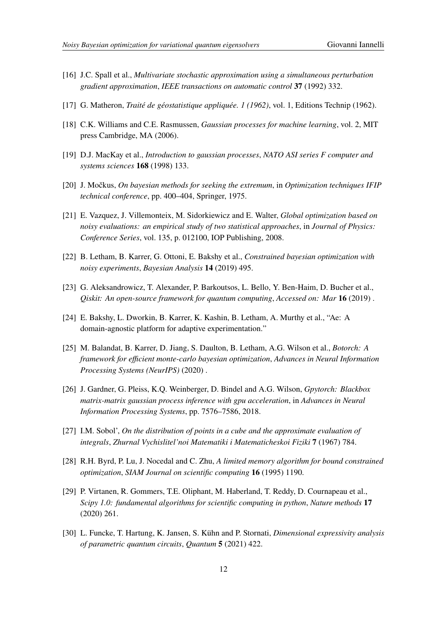- <span id="page-11-0"></span>[16] J.C. Spall et al., *Multivariate stochastic approximation using a simultaneous perturbation gradient approximation*, *IEEE transactions on automatic control* **37** (1992) 332.
- <span id="page-11-1"></span>[17] G. Matheron, *Traité de géostatistique appliquée. 1 (1962)*, vol. 1, Editions Technip (1962).
- <span id="page-11-2"></span>[18] C.K. Williams and C.E. Rasmussen, *Gaussian processes for machine learning*, vol. 2, MIT press Cambridge, MA (2006).
- <span id="page-11-3"></span>[19] D.J. MacKay et al., *Introduction to gaussian processes*, *NATO ASI series F computer and systems sciences* **168** (1998) 133.
- <span id="page-11-4"></span>[20] J. Močkus, *On bayesian methods for seeking the extremum*, in *Optimization techniques IFIP technical conference*, pp. 400–404, Springer, 1975.
- <span id="page-11-5"></span>[21] E. Vazquez, J. Villemonteix, M. Sidorkiewicz and E. Walter, *Global optimization based on noisy evaluations: an empirical study of two statistical approaches*, in *Journal of Physics: Conference Series*, vol. 135, p. 012100, IOP Publishing, 2008.
- <span id="page-11-6"></span>[22] B. Letham, B. Karrer, G. Ottoni, E. Bakshy et al., *Constrained bayesian optimization with noisy experiments*, *Bayesian Analysis* **14** (2019) 495.
- <span id="page-11-7"></span>[23] G. Aleksandrowicz, T. Alexander, P. Barkoutsos, L. Bello, Y. Ben-Haim, D. Bucher et al., *Qiskit: An open-source framework for quantum computing*, *Accessed on: Mar* **16** (2019) .
- <span id="page-11-8"></span>[24] E. Bakshy, L. Dworkin, B. Karrer, K. Kashin, B. Letham, A. Murthy et al., "Ae: A domain-agnostic platform for adaptive experimentation."
- <span id="page-11-9"></span>[25] M. Balandat, B. Karrer, D. Jiang, S. Daulton, B. Letham, A.G. Wilson et al., *Botorch: A framework for efficient monte-carlo bayesian optimization*, *Advances in Neural Information Processing Systems (NeurIPS)* (2020) .
- <span id="page-11-10"></span>[26] J. Gardner, G. Pleiss, K.Q. Weinberger, D. Bindel and A.G. Wilson, *Gpytorch: Blackbox matrix-matrix gaussian process inference with gpu acceleration*, in *Advances in Neural Information Processing Systems*, pp. 7576–7586, 2018.
- <span id="page-11-11"></span>[27] I.M. Sobol', *On the distribution of points in a cube and the approximate evaluation of integrals*, *Zhurnal Vychislitel'noi Matematiki i Matematicheskoi Fiziki* **7** (1967) 784.
- <span id="page-11-12"></span>[28] R.H. Byrd, P. Lu, J. Nocedal and C. Zhu, *A limited memory algorithm for bound constrained optimization*, *SIAM Journal on scientific computing* **16** (1995) 1190.
- <span id="page-11-13"></span>[29] P. Virtanen, R. Gommers, T.E. Oliphant, M. Haberland, T. Reddy, D. Cournapeau et al., *Scipy 1.0: fundamental algorithms for scientific computing in python*, *Nature methods* **17** (2020) 261.
- <span id="page-11-14"></span>[30] L. Funcke, T. Hartung, K. Jansen, S. Kühn and P. Stornati, *Dimensional expressivity analysis of parametric quantum circuits*, *Quantum* **5** (2021) 422.